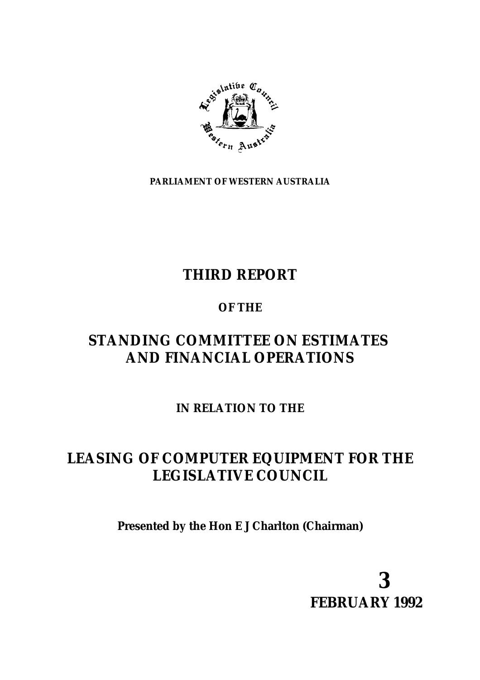

**PARLIAMENT OF WESTERN AUSTRALIA**

## **THIRD REPORT**

## **OF THE**

## **STANDING COMMITTEE ON ESTIMATES AND FINANCIAL OPERATIONS**

**IN RELATION TO THE**

## **LEASING OF COMPUTER EQUIPMENT FOR THE LEGISLATIVE COUNCIL**

**Presented by the Hon E J Charlton (Chairman)**

**3 FEBRUARY 1992**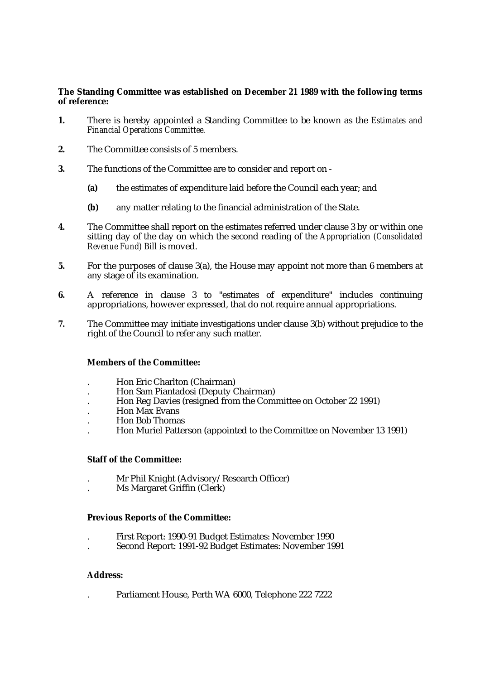#### **The Standing Committee was established on December 21 1989 with the following terms of reference:**

- **1.** There is hereby appointed a Standing Committee to be known as the *Estimates and Financial Operations Committee.*
- **2.** The Committee consists of 5 members.
- **3.** The functions of the Committee are to consider and report on
	- **(a)** the estimates of expenditure laid before the Council each year; and
	- **(b)** any matter relating to the financial administration of the State.
- **4.** The Committee shall report on the estimates referred under clause 3 by or within one sitting day of the day on which the second reading of the *Appropriation (Consolidated Revenue Fund) Bill* is moved.
- **5.** For the purposes of clause 3(a), the House may appoint not more than 6 members at any stage of its examination.
- **6.** A reference in clause 3 to "estimates of expenditure" includes continuing appropriations, however expressed, that do not require annual appropriations.
- **7.** The Committee may initiate investigations under clause 3(b) without prejudice to the right of the Council to refer any such matter.

#### **Members of the Committee:**

- . Hon Eric Charlton (Chairman)
- . Hon Sam Piantadosi (Deputy Chairman)
- . Hon Reg Davies (resigned from the Committee on October 22 1991)
- . Hon Max Evans
- . Hon Bob Thomas
- . Hon Muriel Patterson (appointed to the Committee on November 13 1991)

#### **Staff of the Committee:**

- . Mr Phil Knight (Advisory/Research Officer)
- . Ms Margaret Griffin (Clerk)

#### **Previous Reports of the Committee:**

- . First Report: 1990-91 Budget Estimates: November 1990
- . Second Report: 1991-92 Budget Estimates: November 1991

#### **Address:**

. Parliament House, Perth WA 6000, Telephone 222 7222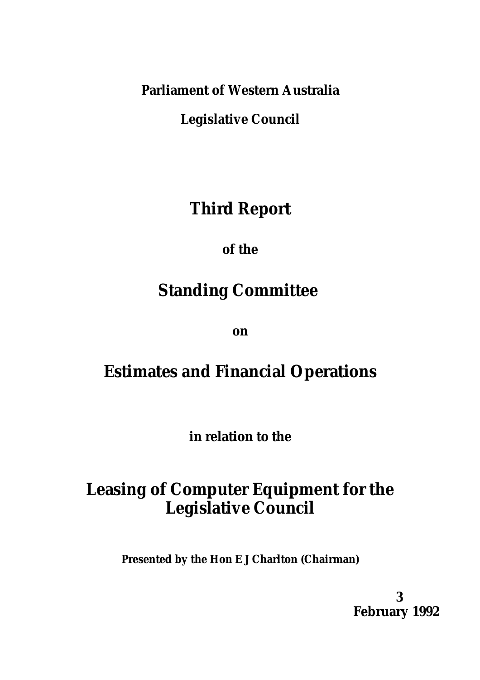**Parliament of Western Australia**

**Legislative Council**

# **Third Report**

**of the**

# **Standing Committee**

**on**

# **Estimates and Financial Operations**

**in relation to the**

# **Leasing of Computer Equipment for the Legislative Council**

**Presented by the Hon E J Charlton (Chairman)**

**3 February 1992**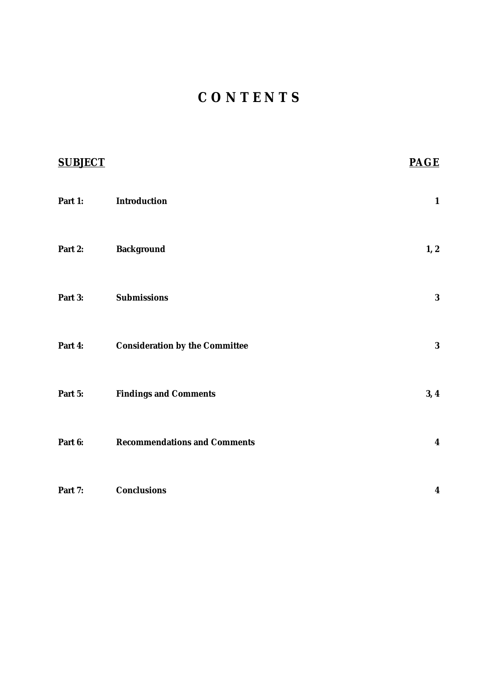# **C O N T E N T S**

| <b>SUBJECT</b> |                                       | <b>PAGE</b>      |
|----------------|---------------------------------------|------------------|
| Part 1:        | Introduction                          | $\mathbf{1}$     |
| Part 2:        | <b>Background</b>                     | 1, 2             |
| Part 3:        | <b>Submissions</b>                    | $\bf{3}$         |
| Part 4:        | <b>Consideration by the Committee</b> | $\bf{3}$         |
| Part 5:        | <b>Findings and Comments</b>          | 3, 4             |
| Part 6:        | <b>Recommendations and Comments</b>   | $\boldsymbol{4}$ |
| Part 7:        | <b>Conclusions</b>                    | $\boldsymbol{4}$ |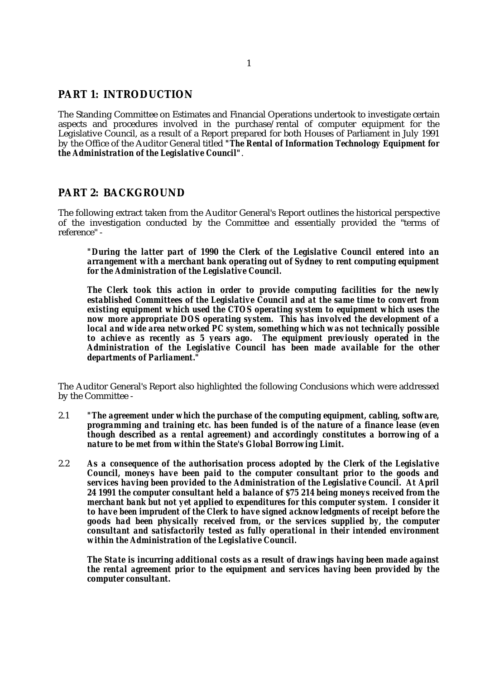### **PART 1: INTRODUCTION**

The Standing Committee on Estimates and Financial Operations undertook to investigate certain aspects and procedures involved in the purchase/rental of computer equipment for the Legislative Council, as a result of a Report prepared for both Houses of Parliament in July 1991 by the Office of the Auditor General titled *"The Rental of Information Technology Equipment for the Administration of the Legislative Council"*.

### **PART 2: BACKGROUND**

The following extract taken from the Auditor General's Report outlines the historical perspective of the investigation conducted by the Committee and essentially provided the "terms of reference" -

*"During the latter part of 1990 the Clerk of the Legislative Council entered into an arrangement with a merchant bank operating out of Sydney to rent computing equipment for the Administration of the Legislative Council.*

*The Clerk took this action in order to provide computing facilities for the newly established Committees of the Legislative Council and at the same time to convert from existing equipment which used the CTOS operating system to equipment which uses the now more appropriate DOS operating system. This has involved the development of a local and wide area networked PC system, something which was not technically possible to achieve as recently as 5 years ago. The equipment previously operated in the Administration of the Legislative Council has been made available for the other departments of Parliament."*

The Auditor General's Report also highlighted the following Conclusions which were addressed by the Committee -

- 2.1 *"The agreement under which the purchase of the computing equipment, cabling, software, programming and training etc. has been funded is of the nature of a finance lease (even though described as a rental agreement) and accordingly constitutes a borrowing of a nature to be met from within the State's Global Borrowing Limit.*
- 2.2 *As a consequence of the authorisation process adopted by the Clerk of the Legislative Council, moneys have been paid to the computer consultant prior to the goods and services having been provided to the Administration of the Legislative Council. At April 24 1991 the computer consultant held a balance of \$75 214 being moneys received from the merchant bank but not yet applied to expenditures for this computer system. I consider it to have been imprudent of the Clerk to have signed acknowledgments of receipt before the goods had been physically received from, or the services supplied by, the computer consultant and satisfactorily tested as fully operational in their intended environment within the Administration of the Legislative Council.*

*The State is incurring additional costs as a result of drawings having been made against the rental agreement prior to the equipment and services having been provided by the computer consultant.*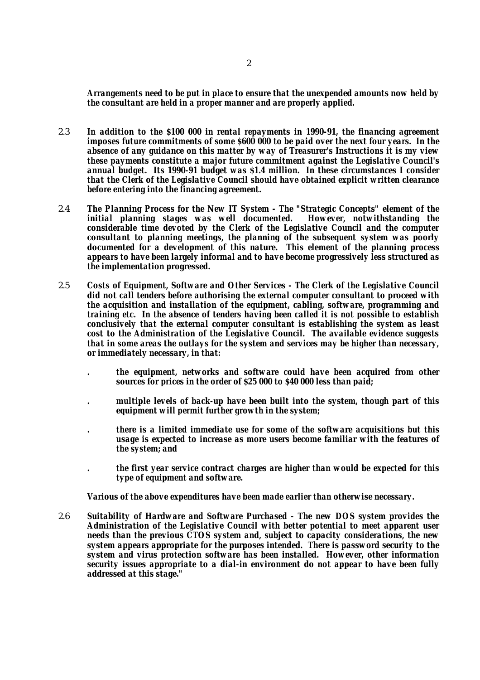*Arrangements need to be put in place to ensure that the unexpended amounts now held by the consultant are held in a proper manner and are properly applied.*

- 2.3 *In addition to the \$100 000 in rental repayments in 1990-91, the financing agreement imposes future commitments of some \$600 000 to be paid over the next four years. In the absence of any guidance on this matter by way of Treasurer's Instructions it is my view these payments constitute a major future commitment against the Legislative Council's annual budget. Its 1990-91 budget was \$1.4 million. In these circumstances I consider that the Clerk of the Legislative Council should have obtained explicit written clearance before entering into the financing agreement.*
- 2.4 *The Planning Process for the New IT System The "Strategic Concepts" element of the initial planning stages was well documented. considerable time devoted by the Clerk of the Legislative Council and the computer consultant to planning meetings, the planning of the subsequent system was poorly documented for a development of this nature. This element of the planning process appears to have been largely informal and to have become progressively less structured as the implementation progressed.*
- 2.5 *Costs of Equipment, Software and Other Services The Clerk of the Legislative Council did not call tenders before authorising the external computer consultant to proceed with the acquisition and installation of the equipment, cabling, software, programming and training etc. In the absence of tenders having been called it is not possible to establish conclusively that the external computer consultant is establishing the system as least cost to the Administration of the Legislative Council. The available evidence suggests that in some areas the outlays for the system and services may be higher than necessary, or immediately necessary, in that:*
	- *. the equipment, networks and software could have been acquired from other sources for prices in the order of \$25 000 to \$40 000 less than paid;*
	- *. multiple levels of back-up have been built into the system, though part of this equipment will permit further growth in the system;*
	- *. there is a limited immediate use for some of the software acquisitions but this usage is expected to increase as more users become familiar with the features of the system; and*
	- *. the first year service contract charges are higher than would be expected for this type of equipment and software.*

*Various of the above expenditures have been made earlier than otherwise necessary.*

2.6 *Suitability of Hardware and Software Purchased - The new DOS system provides the Administration of the Legislative Council with better potential to meet apparent user needs than the previous CTOS system and, subject to capacity considerations, the new system appears appropriate for the purposes intended. There is password security to the system and virus protection software has been installed. However, other information security issues appropriate to a dial-in environment do not appear to have been fully addressed at this stage."*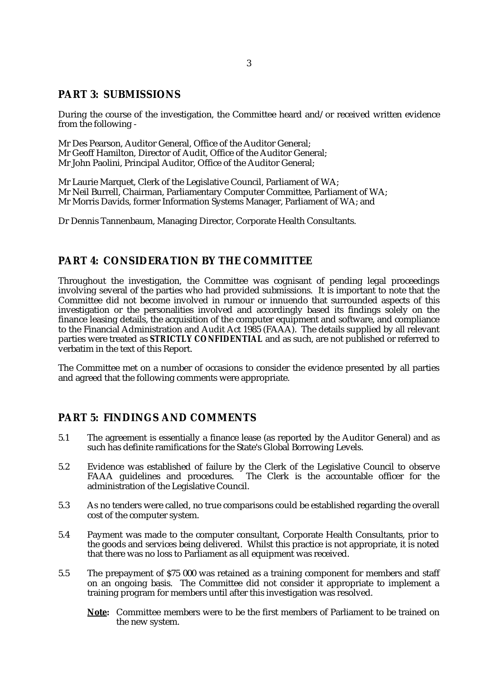### **PART 3: SUBMISSIONS**

During the course of the investigation, the Committee heard and/or received written evidence from the following -

Mr Des Pearson, Auditor General, Office of the Auditor General; Mr Geoff Hamilton, Director of Audit, Office of the Auditor General; Mr John Paolini, Principal Auditor, Office of the Auditor General;

Mr Laurie Marquet, Clerk of the Legislative Council, Parliament of WA; Mr Neil Burrell, Chairman, Parliamentary Computer Committee, Parliament of WA; Mr Morris Davids, former Information Systems Manager, Parliament of WA; and

Dr Dennis Tannenbaum, Managing Director, Corporate Health Consultants.

### **PART 4: CONSIDERATION BY THE COMMITTEE**

Throughout the investigation, the Committee was cognisant of pending legal proceedings involving several of the parties who had provided submissions. It is important to note that the Committee did not become involved in rumour or innuendo that surrounded aspects of this investigation or the personalities involved and accordingly based its findings solely on the finance leasing details, the acquisition of the computer equipment and software, and compliance to the Financial Administration and Audit Act 1985 (FAAA). The details supplied by all relevant parties were treated as *STRICTLY CONFIDENTIAL* and as such, are not published or referred to verbatim in the text of this Report.

The Committee met on a number of occasions to consider the evidence presented by all parties and agreed that the following comments were appropriate.

### **PART 5: FINDINGS AND COMMENTS**

- 5.1 The agreement is essentially a finance lease (as reported by the Auditor General) and as such has definite ramifications for the State's Global Borrowing Levels.
- 5.2 Evidence was established of failure by the Clerk of the Legislative Council to observe The Clerk is the accountable officer for the administration of the Legislative Council.
- 5.3 As no tenders were called, no true comparisons could be established regarding the overall cost of the computer system.
- 5.4 Payment was made to the computer consultant, Corporate Health Consultants, prior to the goods and services being delivered. Whilst this practice is not appropriate, it is noted that there was no loss to Parliament as all equipment was received.
- 5.5 The prepayment of \$75 000 was retained as a training component for members and staff on an ongoing basis. The Committee did not consider it appropriate to implement a training program for members until after this investigation was resolved.
	- **Note:** Committee members were to be the first members of Parliament to be trained on the new system.